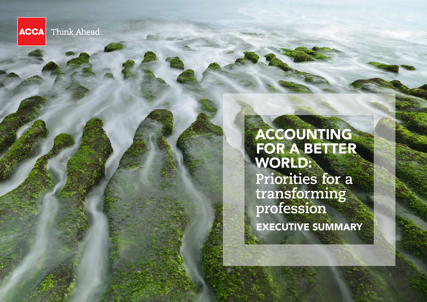Think Ahead **ACCA** 

> ACCOUNTING FOR A BETTER WORLD: **Priorities for a transforming profession** EXECUTIVE SUMMARY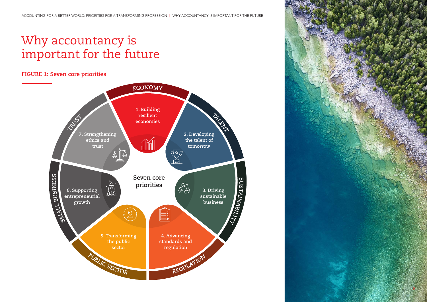# Why accountancy is important for the future

# **FIGURE 1: Seven core priorities**